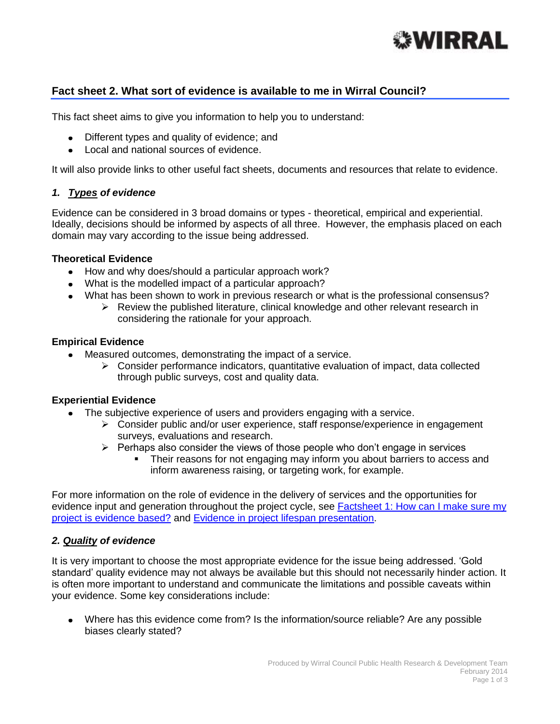

# **Fact sheet 2. What sort of evidence is available to me in Wirral Council?**

This fact sheet aims to give you information to help you to understand:

- Different types and quality of evidence; and
- Local and national sources of evidence.

It will also provide links to other useful fact sheets, documents and resources that relate to evidence.

### *1. Types of evidence*

Evidence can be considered in 3 broad domains or types - theoretical, empirical and experiential. Ideally, decisions should be informed by aspects of all three. However, the emphasis placed on each domain may vary according to the issue being addressed.

#### **Theoretical Evidence**

- How and why does/should a particular approach work?
- What is the modelled impact of a particular approach?
- What has been shown to work in previous research or what is the professional consensus?
	- $\triangleright$  Review the published literature, clinical knowledge and other relevant research in considering the rationale for your approach.

#### **Empirical Evidence**

- Measured outcomes, demonstrating the impact of a service.
	- $\triangleright$  Consider performance indicators, quantitative evaluation of impact, data collected through public surveys, cost and quality data.

### **Experiential Evidence**

- The subjective experience of users and providers engaging with a service.
	- $\triangleright$  Consider public and/or user experience, staff response/experience in engagement surveys, evaluations and research.
	- $\triangleright$  Perhaps also consider the views of those people who don't engage in services
		- Their reasons for not engaging may inform you about barriers to access and inform awareness raising, or targeting work, for example.

For more information on the role of evidence in the delivery of services and the opportunities for evidence input and generation throughout the project cycle, see Factsheet 1: How can I make sure my [project is evidence based?](http://info.wirral.nhs.uk/intelligencehub/howtofact-sheetsonevidence&research.html) and [Evidence in project lifespan presentation.](http://info.wirral.nhs.uk/intelligencehub/howtofact-sheetsonevidence&research.html)

### *2. Quality of evidence*

It is very important to choose the most appropriate evidence for the issue being addressed. 'Gold standard' quality evidence may not always be available but this should not necessarily hinder action. It is often more important to understand and communicate the limitations and possible caveats within your evidence. Some key considerations include:

Where has this evidence come from? Is the information/source reliable? Are any possible biases clearly stated?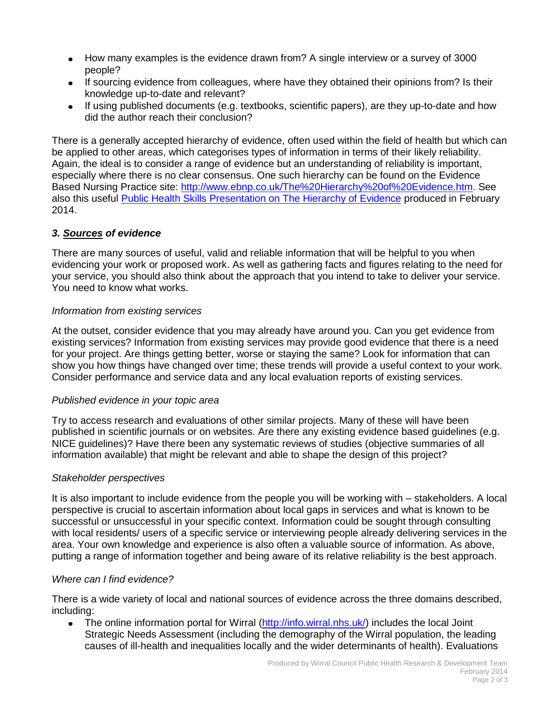- How many examples is the evidence drawn from? A single interview or a survey of 3000 people?
- If sourcing evidence from colleagues, where have they obtained their opinions from? Is their knowledge up-to-date and relevant?
- If using published documents (e.g. textbooks, scientific papers), are they up-to-date and how did the author reach their conclusion?

There is a generally accepted hierarchy of evidence, often used within the field of health but which can be applied to other areas, which categorises types of information in terms of their likely reliability. Again, the ideal is to consider a range of evidence but an understanding of reliability is important, especially where there is no clear consensus. One such hierarchy can be found on the Evidence Based Nursing Practice site: [http://www.ebnp.co.uk/The%20Hierarchy%20of%20Evidence.htm.](http://www.ebnp.co.uk/The%20Hierarchy%20of%20Evidence.htm) See also this useful [Public Health Skills Presentation on The Hierarchy of Evidence](http://info.wirral.nhs.uk/intelligencehub/howtofact-sheetsonevidence&research.html) produced in February 2014.

# *3. Sources of evidence*

There are many sources of useful, valid and reliable information that will be helpful to you when evidencing your work or proposed work. As well as gathering facts and figures relating to the need for your service, you should also think about the approach that you intend to take to deliver your service. You need to know what works.

## *Information from existing services*

At the outset, consider evidence that you may already have around you. Can you get evidence from existing services? Information from existing services may provide good evidence that there is a need for your project. Are things getting better, worse or staying the same? Look for information that can show you how things have changed over time; these trends will provide a useful context to your work. Consider performance and service data and any local evaluation reports of existing services.

## *Published evidence in your topic area*

Try to access research and evaluations of other similar projects. Many of these will have been published in scientific journals or on websites. Are there any existing evidence based guidelines (e.g. NICE guidelines)? Have there been any systematic reviews of studies (objective summaries of all information available) that might be relevant and able to shape the design of this project?

## *Stakeholder perspectives*

It is also important to include evidence from the people you will be working with – stakeholders. A local perspective is crucial to ascertain information about local gaps in services and what is known to be successful or unsuccessful in your specific context. Information could be sought through consulting with local residents/ users of a specific service or interviewing people already delivering services in the area. Your own knowledge and experience is also often a valuable source of information. As above, putting a range of information together and being aware of its relative reliability is the best approach.

## *Where can I find evidence?*

There is a wide variety of local and national sources of evidence across the three domains described, including:

 $\bullet$ The online information portal for Wirral [\(http://info.wirral.nhs.uk/\)](http://info.wirral.nhs.uk/) includes the local Joint Strategic Needs Assessment (including the demography of the Wirral population, the leading causes of ill-health and inequalities locally and the wider determinants of health). Evaluations